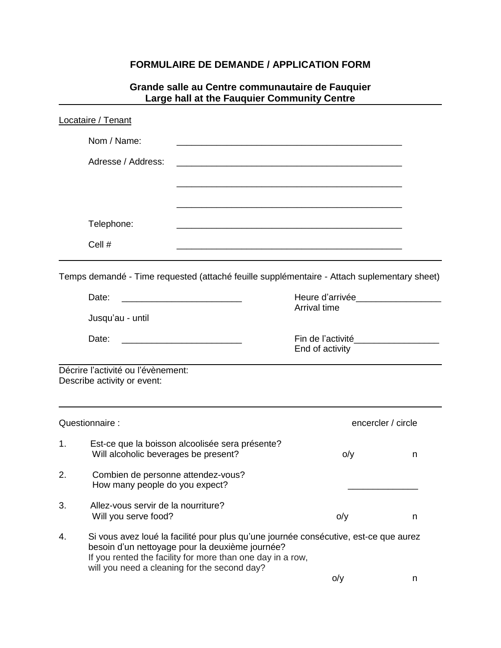### **FORMULAIRE DE DEMANDE / APPLICATION FORM**

#### **Grande salle au Centre communautaire de Fauquier Large hall at the Fauquier Community Centre**

|                 | <b>Locataire / Tenant</b>                                                                                                                                                                                                                             |                                                                                                                       |   |  |  |
|-----------------|-------------------------------------------------------------------------------------------------------------------------------------------------------------------------------------------------------------------------------------------------------|-----------------------------------------------------------------------------------------------------------------------|---|--|--|
|                 | Nom / Name:                                                                                                                                                                                                                                           |                                                                                                                       |   |  |  |
|                 | Adresse / Address:                                                                                                                                                                                                                                    |                                                                                                                       |   |  |  |
|                 |                                                                                                                                                                                                                                                       | <u> 1989 - Johann Barn, mars ar breithinn ar chwaraeth a chwaraeth a chwaraeth a chwaraeth a chwaraeth a chwaraet</u> |   |  |  |
|                 |                                                                                                                                                                                                                                                       |                                                                                                                       |   |  |  |
|                 | Telephone:                                                                                                                                                                                                                                            |                                                                                                                       |   |  |  |
|                 | Cell #                                                                                                                                                                                                                                                |                                                                                                                       |   |  |  |
|                 | Temps demandé - Time requested (attaché feuille supplémentaire - Attach suplementary sheet)<br>Date:                                                                                                                                                  | Heure d'arrivée___________________                                                                                    |   |  |  |
|                 | Jusqu'au - until                                                                                                                                                                                                                                      | Arrival time                                                                                                          |   |  |  |
| Date:           |                                                                                                                                                                                                                                                       | End of activity                                                                                                       |   |  |  |
|                 | Décrire l'activité ou l'évènement:<br>Describe activity or event:                                                                                                                                                                                     |                                                                                                                       |   |  |  |
| Questionnaire : |                                                                                                                                                                                                                                                       | encercler / circle                                                                                                    |   |  |  |
| 1.              | Est-ce que la boisson alcoolisée sera présente?<br>Will alcoholic beverages be present?                                                                                                                                                               | o/y                                                                                                                   | n |  |  |
| 2.              | Combien de personne attendez-vous?<br>How many people do you expect?                                                                                                                                                                                  |                                                                                                                       |   |  |  |
| 3.              | Allez-vous servir de la nourriture?<br>Will you serve food?                                                                                                                                                                                           | o/y                                                                                                                   | n |  |  |
| 4.              | Si vous avez loué la facilité pour plus qu'une journée consécutive, est-ce que aurez<br>besoin d'un nettoyage pour la deuxième journée?<br>If you rented the facility for more than one day in a row,<br>will you need a cleaning for the second day? |                                                                                                                       |   |  |  |
|                 |                                                                                                                                                                                                                                                       | o/y                                                                                                                   | n |  |  |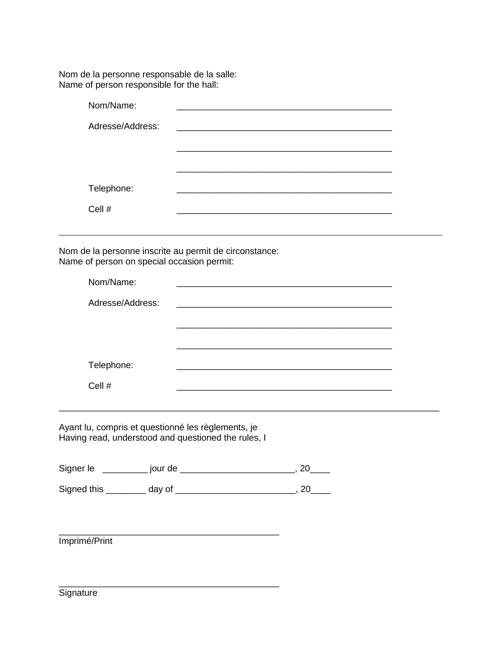Nom de la personne responsable de la salle: Name of person responsible for the hall:

| Nom/Name:        |  |
|------------------|--|
| Adresse/Address: |  |
|                  |  |
|                  |  |
|                  |  |
| Telephone:       |  |
| Cell #           |  |

Nom de la personne inscrite au permit de circonstance: Name of person on special occasion permit:

| Nom/Name:        |  |
|------------------|--|
| Adresse/Address: |  |
|                  |  |
|                  |  |
| Telephone:       |  |
| Cell #           |  |

\_\_\_\_\_\_\_\_\_\_\_\_\_\_\_\_\_\_\_\_\_\_\_\_\_\_\_\_\_\_\_\_\_\_\_\_\_\_\_\_\_\_\_\_\_\_\_\_\_\_\_\_\_\_\_\_\_\_\_\_\_\_\_\_\_\_\_\_\_\_\_\_\_\_\_\_

Ayant lu, compris et questionné les règlements, je Having read, understood and questioned the rules, I

\_\_\_\_\_\_\_\_\_\_\_\_\_\_\_\_\_\_\_\_\_\_\_\_\_\_\_\_\_\_\_\_\_\_\_\_\_\_\_\_\_\_\_\_

\_\_\_\_\_\_\_\_\_\_\_\_\_\_\_\_\_\_\_\_\_\_\_\_\_\_\_\_\_\_\_\_\_\_\_\_\_\_\_\_\_\_\_\_

| Signer le   | jour de |  |
|-------------|---------|--|
| Signed this | day of  |  |

Imprimé/Print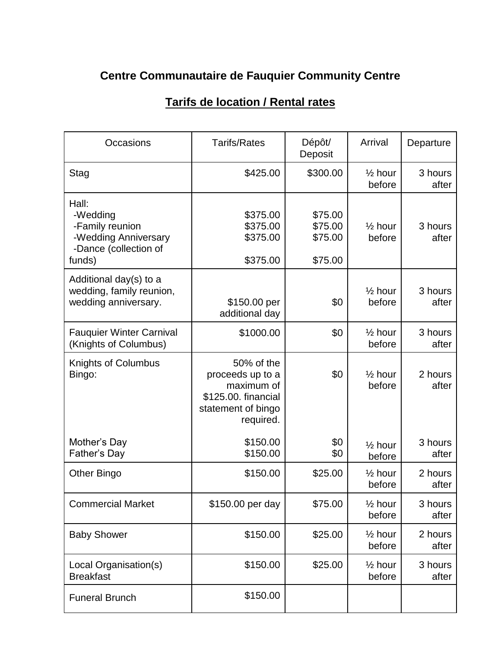# **Centre Communautaire de Fauquier Community Centre**

| Occasions                                                                                       | <b>Tarifs/Rates</b>                                                                                    | Dépôt/<br>Deposit                        | Arrival                      | Departure        |
|-------------------------------------------------------------------------------------------------|--------------------------------------------------------------------------------------------------------|------------------------------------------|------------------------------|------------------|
| Stag                                                                                            | \$425.00                                                                                               | \$300.00                                 | $\frac{1}{2}$ hour<br>before | 3 hours<br>after |
| Hall:<br>-Wedding<br>-Family reunion<br>-Wedding Anniversary<br>-Dance (collection of<br>funds) | \$375.00<br>\$375.00<br>\$375.00<br>\$375.00                                                           | \$75.00<br>\$75.00<br>\$75.00<br>\$75.00 | $\frac{1}{2}$ hour<br>before | 3 hours<br>after |
| Additional day(s) to a<br>wedding, family reunion,<br>wedding anniversary.                      | \$150.00 per<br>additional day                                                                         | \$0                                      | $\frac{1}{2}$ hour<br>before | 3 hours<br>after |
| <b>Fauquier Winter Carnival</b><br>(Knights of Columbus)                                        | \$1000.00                                                                                              | \$0                                      | $\frac{1}{2}$ hour<br>before | 3 hours<br>after |
| Knights of Columbus<br>Bingo:                                                                   | 50% of the<br>proceeds up to a<br>maximum of<br>\$125.00. financial<br>statement of bingo<br>required. | \$0                                      | $\frac{1}{2}$ hour<br>before | 2 hours<br>after |
| Mother's Day<br>Father's Day                                                                    | \$150.00<br>\$150.00                                                                                   | \$0<br>\$0                               | $\frac{1}{2}$ hour<br>before | 3 hours<br>after |
| Other Bingo                                                                                     | \$150.00                                                                                               | \$25.00                                  | $\frac{1}{2}$ hour<br>before | 2 hours<br>after |
| <b>Commercial Market</b>                                                                        | \$150.00 per day                                                                                       | \$75.00                                  | $\frac{1}{2}$ hour<br>before | 3 hours<br>after |
| <b>Baby Shower</b>                                                                              | \$150.00                                                                                               | \$25.00                                  | $\frac{1}{2}$ hour<br>before | 2 hours<br>after |
| Local Organisation(s)<br><b>Breakfast</b>                                                       | \$150.00                                                                                               | \$25.00                                  | $\frac{1}{2}$ hour<br>before | 3 hours<br>after |
| <b>Funeral Brunch</b>                                                                           | \$150.00                                                                                               |                                          |                              |                  |

# **Tarifs de location / Rental rates**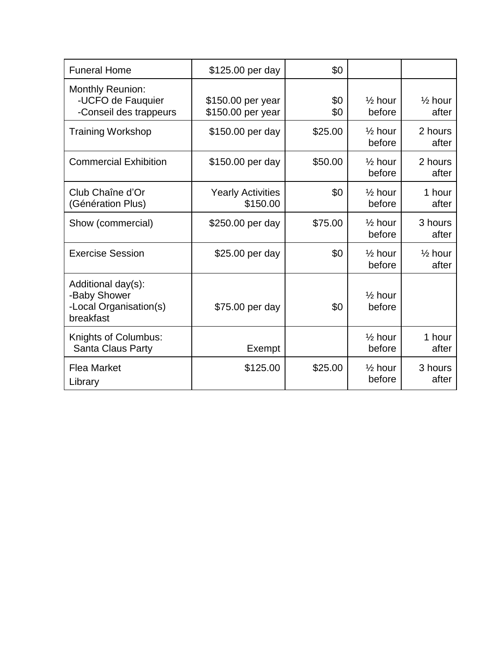| <b>Funeral Home</b>                                                       | \$125.00 per day                       | \$0        |                              |                             |
|---------------------------------------------------------------------------|----------------------------------------|------------|------------------------------|-----------------------------|
| <b>Monthly Reunion:</b><br>-UCFO de Fauquier<br>-Conseil des trappeurs    | \$150.00 per year<br>\$150.00 per year | \$0<br>\$0 | $\frac{1}{2}$ hour<br>before | $\frac{1}{2}$ hour<br>after |
| <b>Training Workshop</b>                                                  | \$150.00 per day                       | \$25.00    | $\frac{1}{2}$ hour<br>before | 2 hours<br>after            |
| <b>Commercial Exhibition</b>                                              | \$150.00 per day                       | \$50.00    | $\frac{1}{2}$ hour<br>before | 2 hours<br>after            |
| Club Chaîne d'Or<br>(Génération Plus)                                     | <b>Yearly Activities</b><br>\$150.00   | \$0        | $\frac{1}{2}$ hour<br>before | 1 hour<br>after             |
| Show (commercial)                                                         | \$250.00 per day                       | \$75.00    | $\frac{1}{2}$ hour<br>before | 3 hours<br>after            |
| <b>Exercise Session</b>                                                   | \$25.00 per day                        | \$0        | $\frac{1}{2}$ hour<br>before | $\frac{1}{2}$ hour<br>after |
| Additional day(s):<br>-Baby Shower<br>-Local Organisation(s)<br>breakfast | \$75.00 per day                        | \$0        | $\frac{1}{2}$ hour<br>before |                             |
| Knights of Columbus:<br>Santa Claus Party                                 | Exempt                                 |            | $\frac{1}{2}$ hour<br>before | 1 hour<br>after             |
| <b>Flea Market</b><br>Library                                             | \$125.00                               | \$25.00    | $\frac{1}{2}$ hour<br>before | 3 hours<br>after            |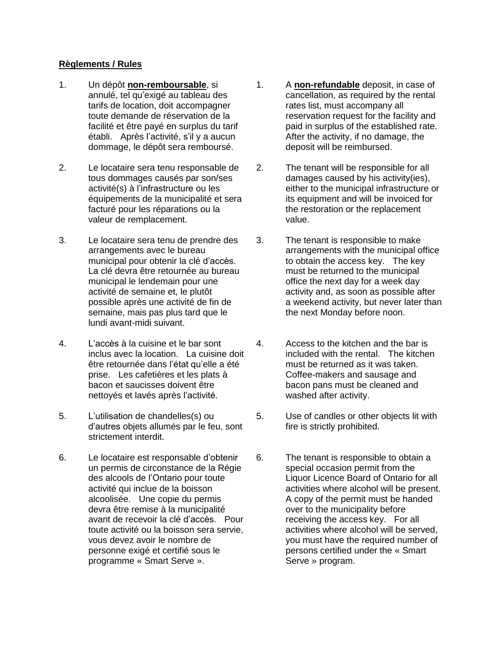#### **Règlements / Rules**

- 1. Un dépôt **non-remboursable**, si annulé, tel qu'exigé au tableau des tarifs de location, doit accompagner toute demande de réservation de la facilité et être payé en surplus du tarif établi. Après l'activité, s'il y a aucun dommage, le dépôt sera remboursé.
- 2. Le locataire sera tenu responsable de tous dommages causés par son/ses activité(s) à l'infrastructure ou les équipements de la municipalité et sera facturé pour les réparations ou la valeur de remplacement.
- 3. Le locataire sera tenu de prendre des arrangements avec le bureau municipal pour obtenir la clé d'accès. La clé devra être retournée au bureau municipal le lendemain pour une activité de semaine et, le plutôt possible après une activité de fin de semaine, mais pas plus tard que le lundi avant-midi suivant.
- 4. L'accès à la cuisine et le bar sont inclus avec la location. La cuisine doit être retournée dans l'état qu'elle a été prise. Les cafetières et les plats à bacon et saucisses doivent être nettoyés et lavés après l'activité.
- 5. L'utilisation de chandelles(s) ou d'autres objets allumés par le feu, sont strictement interdit.
- 6. Le locataire est responsable d'obtenir un permis de circonstance de la Régie des alcools de l'Ontario pour toute activité qui inclue de la boisson alcoolisée. Une copie du permis devra être remise à la municipalité avant de recevoir la clé d'accès. Pour toute activité ou la boisson sera servie, vous devez avoir le nombre de personne exigé et certifié sous le programme « Smart Serve ».
- 1. A **non-refundable** deposit, in case of cancellation, as required by the rental rates list, must accompany all reservation request for the facility and paid in surplus of the established rate. After the activity, if no damage, the deposit will be reimbursed.
- 2. The tenant will be responsible for all damages caused by his activity(ies), either to the municipal infrastructure or its equipment and will be invoiced for the restoration or the replacement value.
- 3. The tenant is responsible to make arrangements with the municipal office to obtain the access key. The key must be returned to the municipal office the next day for a week day activity and, as soon as possible after a weekend activity, but never later than the next Monday before noon.
- 4. Access to the kitchen and the bar is included with the rental. The kitchen must be returned as it was taken. Coffee-makers and sausage and bacon pans must be cleaned and washed after activity.
- 5. Use of candles or other objects lit with fire is strictly prohibited.
- 6. The tenant is responsible to obtain a special occasion permit from the Liquor Licence Board of Ontario for all activities where alcohol will be present. A copy of the permit must be handed over to the municipality before receiving the access key. For all activities where alcohol will be served, you must have the required number of persons certified under the « Smart Serve » program.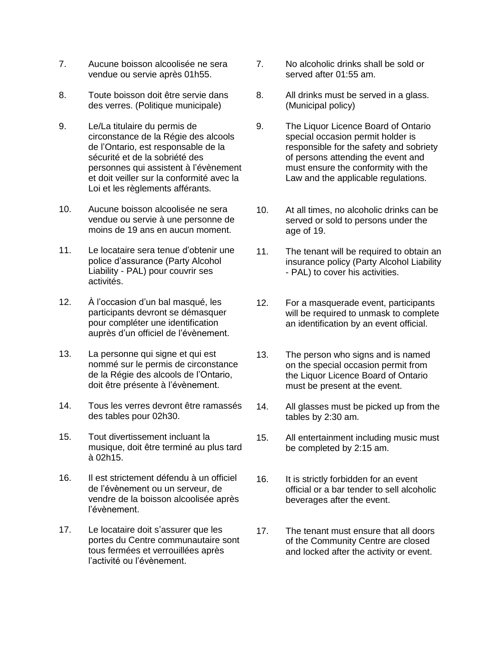- 7. Aucune boisson alcoolisée ne sera vendue ou servie après 01h55.
- 8. Toute boisson doit être servie dans des verres. (Politique municipale)
- 9. Le/La titulaire du permis de circonstance de la Régie des alcools de l'Ontario, est responsable de la sécurité et de la sobriété des personnes qui assistent à l'évènement et doit veiller sur la conformité avec la Loi et les règlements afférants.
- 10. Aucune boisson alcoolisée ne sera vendue ou servie à une personne de moins de 19 ans en aucun moment.
- 11. Le locataire sera tenue d'obtenir une police d'assurance (Party Alcohol Liability - PAL) pour couvrir ses activités.
- 12. À l'occasion d'un bal masqué, les participants devront se démasquer pour compléter une identification auprès d'un officiel de l'évènement.
- 13. La personne qui signe et qui est nommé sur le permis de circonstance de la Régie des alcools de l'Ontario, doit être présente à l'évènement.
- 14. Tous les verres devront être ramassés des tables pour 02h30.
- 15. Tout divertissement incluant la musique, doit être terminé au plus tard à 02h15.
- 16. Il est strictement défendu à un officiel de l'évènement ou un serveur, de vendre de la boisson alcoolisée après l'évènement.
- 17. Le locataire doit s'assurer que les portes du Centre communautaire sont tous fermées et verrouillées après l'activité ou l'évènement.
- 7. No alcoholic drinks shall be sold or served after 01:55 am.
- 8. All drinks must be served in a glass. (Municipal policy)
- 9. The Liquor Licence Board of Ontario special occasion permit holder is responsible for the safety and sobriety of persons attending the event and must ensure the conformity with the Law and the applicable regulations.
- 10. At all times, no alcoholic drinks can be served or sold to persons under the age of 19.
- 11. The tenant will be required to obtain an insurance policy (Party Alcohol Liability - PAL) to cover his activities.
- 12. For a masquerade event, participants will be required to unmask to complete an identification by an event official.
- 13. The person who signs and is named on the special occasion permit from the Liquor Licence Board of Ontario must be present at the event.
- 14. All glasses must be picked up from the tables by 2:30 am.
- 15. All entertainment including music must be completed by 2:15 am.
- 16. It is strictly forbidden for an event official or a bar tender to sell alcoholic beverages after the event.
- 17. The tenant must ensure that all doors of the Community Centre are closed and locked after the activity or event.